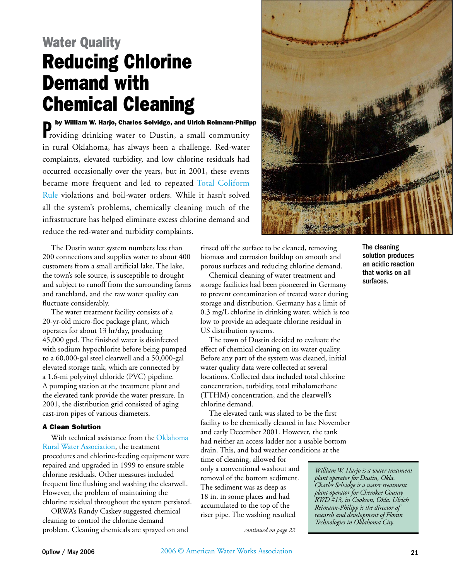## Water Quality Reducing Chlorine Demand with Chemical Cleaning

**Poly William W. Harjo, Charles Selvidge, and Ulrich Reimann-Philipp**<br>roviding drinking water to Dustin, a small community in rural Oklahoma, has always been a challenge. Red-water complaints, elevated turbidity, and low chlorine residuals had occurred occasionally over the years, but in 2001, these events became more frequent and led to repeated [Total Coliform](http://www.epa.gov/safewater/tcr/tcr.html)  [Rule](http://www.epa.gov/safewater/tcr/tcr.html) violations and boil-water orders. While it hasn't solved all the system's problems, chemically cleaning much of the infrastructure has helped eliminate excess chlorine demand and reduce the red-water and turbidity complaints.

The Dustin water system numbers less than 200 connections and supplies water to about 400 customers from a small artificial lake. The lake, the town's sole source, is susceptible to drought and subject to runoff from the surrounding farms and ranchland, and the raw water quality can fluctuate considerably.

The water treatment facility consists of a 20-yr-old micro-floc package plant, which operates for about 13 hr/day, producing 45,000 gpd. The finished water is disinfected with sodium hypochlorite before being pumped to a 60,000-gal steel clearwell and a 50,000-gal elevated storage tank, which are connected by a 1.6-mi polyvinyl chloride (PVC) pipeline. A pumping station at the treatment plant and the elevated tank provide the water pressure. In 2001, the distribution grid consisted of aging cast-iron pipes of various diameters.

## A Clean Solution

With technical assistance from the [Oklahoma](http://www.okruralwater.org)  [Rural Water Association,](http://www.okruralwater.org) the treatment procedures and chlorine-feeding equipment were repaired and upgraded in 1999 to ensure stable chlorine residuals. Other measures included frequent line flushing and washing the clearwell. However, the problem of maintaining the chlorine residual throughout the system persisted.

ORWA's Randy Caskey suggested chemical cleaning to control the chlorine demand problem. Cleaning chemicals are sprayed on and



rinsed off the surface to be cleaned, removing biomass and corrosion buildup on smooth and porous surfaces and reducing chlorine demand.

Chemical cleaning of water treatment and storage facilities had been pioneered in Germany to prevent contamination of treated water during storage and distribution. Germany has a limit of 0.3 mg/L chlorine in drinking water, which is too low to provide an adequate chlorine residual in US distribution systems.

The town of Dustin decided to evaluate the effect of chemical cleaning on its water quality. Before any part of the system was cleaned, initial water quality data were collected at several locations. Collected data included total chlorine concentration, turbidity, total trihalomethane (TTHM) concentration, and the clearwell's chlorine demand.

The elevated tank was slated to be the first facility to be chemically cleaned in late November and early December 2001. However, the tank had neither an access ladder nor a usable bottom drain. This, and bad weather conditions at the

time of cleaning, allowed for only a conventional washout and removal of the bottom sediment. The sediment was as deep as 18 in. in some places and had accumulated to the top of the riser pipe. The washing resulted

The cleaning solution produces an acidic reaction that works on all surfaces.

*William W. Harjo is a water treatment plant operator for Dustin, Okla. Charles Selvidge is a water treatment plant operator for Cherokee County RWD #13, in Cookson, Okla. Ulrich Reimann-Philipp is the director of research and development of Floran Technologies in Oklahoma City.*

*continued on page 22*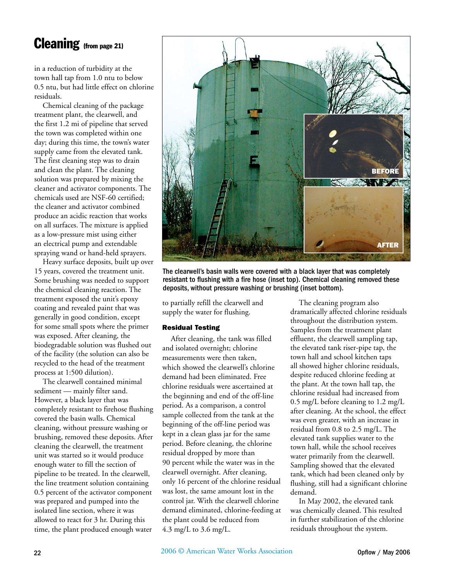## Cleaning (from page 21)

in a reduction of turbidity at the town hall tap from 1.0 ntu to below 0.5 ntu, but had little effect on chlorine residuals.

Chemical cleaning of the package treatment plant, the clearwell, and the first 1.2 mi of pipeline that served the town was completed within one day; during this time, the town's water supply came from the elevated tank. The first cleaning step was to drain and clean the plant. The cleaning solution was prepared by mixing the cleaner and activator components. The chemicals used are NSF-60 certified; the cleaner and activator combined produce an acidic reaction that works on all surfaces. The mixture is applied as a low-pressure mist using either an electrical pump and extendable spraying wand or hand-held sprayers.

Heavy surface deposits, built up over 15 years, covered the treatment unit. Some brushing was needed to support the chemical cleaning reaction. The treatment exposed the unit's epoxy coating and revealed paint that was generally in good condition, except for some small spots where the primer was exposed. After cleaning, the biodegradable solution was flushed out of the facility (the solution can also be recycled to the head of the treatment process at 1:500 dilution).

The clearwell contained minimal sediment — mainly filter sand. However, a black layer that was completely resistant to firehose flushing covered the basin walls. Chemical cleaning, without pressure washing or brushing, removed these deposits. After cleaning the clearwell, the treatment unit was started so it would produce enough water to fill the section of pipeline to be treated. In the clearwell, the line treatment solution containing 0.5 percent of the activator component was prepared and pumped into the isolated line section, where it was allowed to react for 3 hr. During this time, the plant produced enough water



The clearwell's basin walls were covered with a black layer that was completely resistant to flushing with a fire hose (inset top). Chemical cleaning removed these deposits, without pressure washing or brushing (inset bottom).

to partially refill the clearwell and supply the water for flushing.

## Residual Testing

After cleaning, the tank was filled and isolated overnight; chlorine measurements were then taken, which showed the clearwell's chlorine demand had been eliminated. Free chlorine residuals were ascertained at the beginning and end of the off-line period. As a comparison, a control sample collected from the tank at the beginning of the off-line period was kept in a clean glass jar for the same period. Before cleaning, the chlorine residual dropped by more than 90 percent while the water was in the clearwell overnight. After cleaning, only 16 percent of the chlorine residual was lost, the same amount lost in the control jar. With the clearwell chlorine demand eliminated, chlorine-feeding at the plant could be reduced from 4.3 mg/L to 3.6 mg/L.

The cleaning program also dramatically affected chlorine residuals throughout the distribution system. Samples from the treatment plant effluent, the clearwell sampling tap, the elevated tank riser-pipe tap, the town hall and school kitchen taps all showed higher chlorine residuals, despite reduced chlorine feeding at the plant. At the town hall tap, the chlorine residual had increased from 0.5 mg/L before cleaning to 1.2 mg/L after cleaning. At the school, the effect was even greater, with an increase in residual from 0.8 to 2.5 mg/L. The elevated tank supplies water to the town hall, while the school receives water primarily from the clearwell. Sampling showed that the elevated tank, which had been cleaned only by flushing, still had a significant chlorine demand.

In May 2002, the elevated tank was chemically cleaned. This resulted in further stabilization of the chlorine residuals throughout the system.